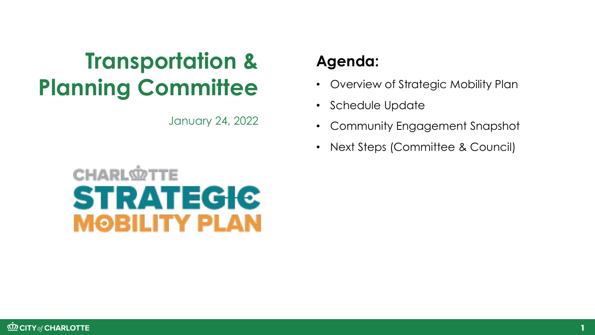# **Transportation & Planning Committee**

January 24, 2022

### **Agenda:**

- Overview of Strategic Mobility Plan
- Schedule Update
- Community Engagement Snapshot
- Next Steps (Committee & Council)

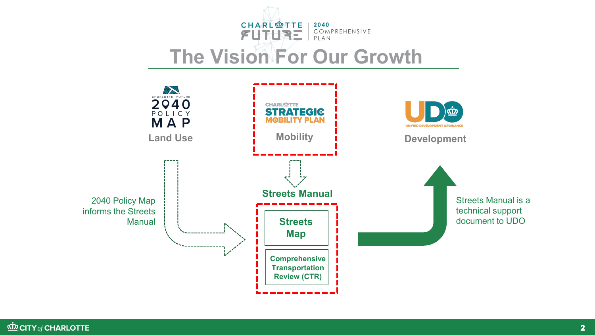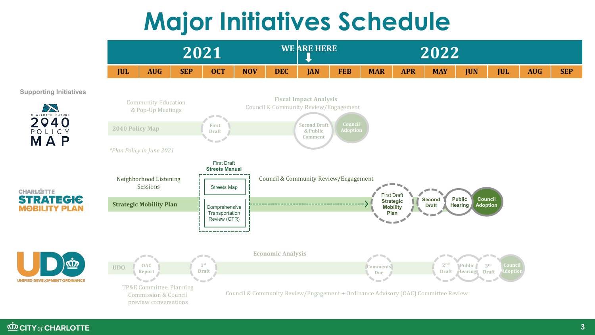# **Major Initiatives Schedule**



**Supporting Initiatives**

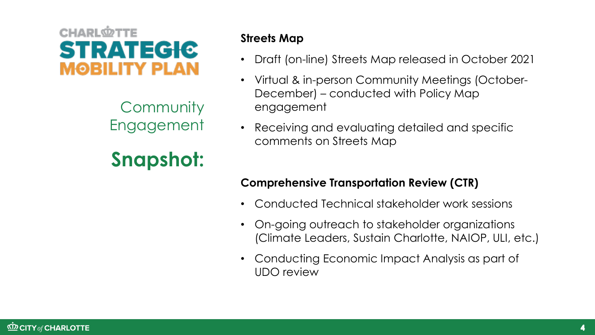## **CHARL<sup>O</sup>TTE STRATEGIC** MOBILITY PLAN

**Community** Engagement

## **Snapshot:**

#### **Streets Map**

- Draft (on-line) Streets Map released in October 2021
- Virtual & in-person Community Meetings (October-December) – conducted with Policy Map engagement
- Receiving and evaluating detailed and specific comments on Streets Map

#### **Comprehensive Transportation Review (CTR)**

- Conducted Technical stakeholder work sessions
- On-going outreach to stakeholder organizations (Climate Leaders, Sustain Charlotte, NAIOP, ULI, etc.)
- Conducting Economic Impact Analysis as part of UDO review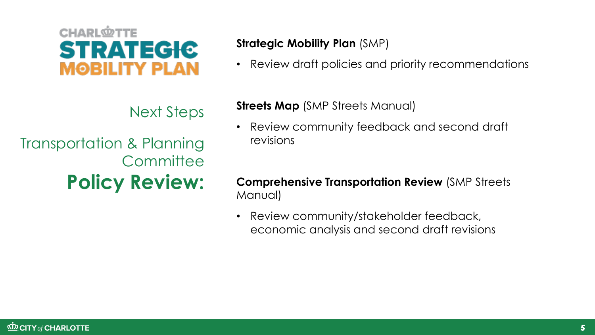#### **KD CITY of CHARLOTTE**

#### **Strategic Mobility Plan** (SMP)

• Review draft policies and priority recommendations

#### **Streets Map** *(SMP Streets Manual)*

- Review community feedback and second draft revisions
- **Comprehensive Transportation Review** (SMP Streets Manual)
- Review community/stakeholder feedback, economic analysis and second draft revisions



Transportation & Planning **Committee Policy Review:**

**CHARL<sup>O</sup>TTE** 

**STRATEGIC** 

**MOBILITY PLAN**